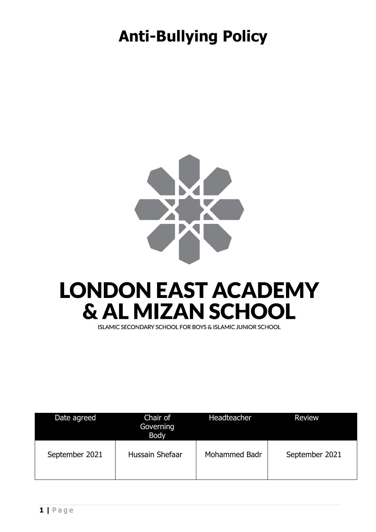# **Anti-Bullying Policy**



# **LONDON EAST ACADEMY & AL MIZAN SCHOOL**

ISLAMIC SECONDARY SCHOOL FOR BOYS & ISLAMIC JUNIOR SCHOOL

| Date agreed    | Chair of<br>Governing<br><b>Body</b> | Headteacher   | <b>Review</b>  |
|----------------|--------------------------------------|---------------|----------------|
| September 2021 | Hussain Shefaar                      | Mohammed Badr | September 2021 |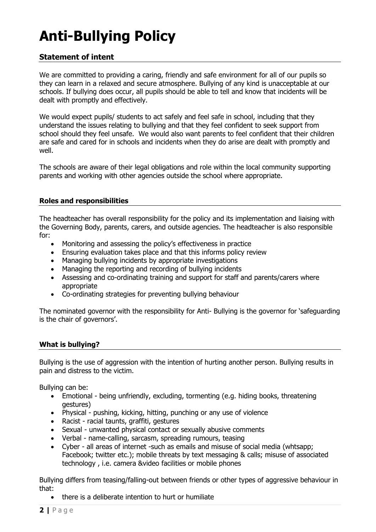# **Anti-Bullying Policy**

# **Statement of intent**

We are committed to providing a caring, friendly and safe environment for all of our pupils so they can learn in a relaxed and secure atmosphere. Bullying of any kind is unacceptable at our schools. If bullying does occur, all pupils should be able to tell and know that incidents will be dealt with promptly and effectively.

We would expect pupils/ students to act safely and feel safe in school, including that they understand the issues relating to bullying and that they feel confident to seek support from school should they feel unsafe. We would also want parents to feel confident that their children are safe and cared for in schools and incidents when they do arise are dealt with promptly and well.

The schools are aware of their legal obligations and role within the local community supporting parents and working with other agencies outside the school where appropriate.

#### **Roles and responsibilities**

The headteacher has overall responsibility for the policy and its implementation and liaising with the Governing Body, parents, carers, and outside agencies. The headteacher is also responsible for:

- Monitoring and assessing the policy's effectiveness in practice
- Ensuring evaluation takes place and that this informs policy review
- Managing bullying incidents by appropriate investigations
- Managing the reporting and recording of bullying incidents
- Assessing and co-ordinating training and support for staff and parents/carers where appropriate
- Co-ordinating strategies for preventing bullying behaviour

The nominated governor with the responsibility for Anti- Bullying is the governor for 'safeguarding is the chair of governors'.

#### **What is bullying?**

Bullying is the use of aggression with the intention of hurting another person. Bullying results in pain and distress to the victim.

Bullying can be:

- Emotional being unfriendly, excluding, tormenting (e.g. hiding books, threatening gestures)
- Physical pushing, kicking, hitting, punching or any use of violence
- Racist racial taunts, graffiti, gestures
- Sexual unwanted physical contact or sexually abusive comments
- Verbal name-calling, sarcasm, spreading rumours, teasing
- Cyber all areas of internet -such as emails and misuse of social media (whtsapp; Facebook; twitter etc.); mobile threats by text messaging & calls; misuse of associated technology , i.e. camera &video facilities or mobile phones

Bullying differs from teasing/falling-out between friends or other types of aggressive behaviour in that:

• there is a deliberate intention to hurt or humiliate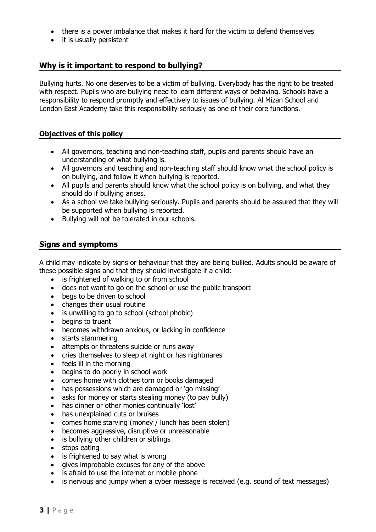- there is a power imbalance that makes it hard for the victim to defend themselves
- it is usually persistent

# **Why is it important to respond to bullying?**

Bullying hurts. No one deserves to be a victim of bullying. Everybody has the right to be treated with respect. Pupils who are bullying need to learn different ways of behaving. Schools have a responsibility to respond promptly and effectively to issues of bullying. Al Mizan School and London East Academy take this responsibility seriously as one of their core functions.

#### **Objectives of this policy**

- All governors, teaching and non-teaching staff, pupils and parents should have an understanding of what bullying is.
- All governors and teaching and non-teaching staff should know what the school policy is on bullying, and follow it when bullying is reported.
- All pupils and parents should know what the school policy is on bullying, and what they should do if bullying arises.
- As a school we take bullying seriously. Pupils and parents should be assured that they will be supported when bullying is reported.
- Bullying will not be tolerated in our schools.

#### **Signs and symptoms**

A child may indicate by signs or behaviour that they are being bullied. Adults should be aware of these possible signs and that they should investigate if a child:

- is frightened of walking to or from school
- does not want to go on the school or use the public transport
- begs to be driven to school
- changes their usual routine
- is unwilling to go to school (school phobic)
- begins to truant
- becomes withdrawn anxious, or lacking in confidence
- starts stammering
- attempts or threatens suicide or runs away
- cries themselves to sleep at night or has nightmares
- feels ill in the morning
- begins to do poorly in school work
- comes home with clothes torn or books damaged
- has possessions which are damaged or 'go missing'
- asks for money or starts stealing money (to pay bully)
- has dinner or other monies continually 'lost'
- has unexplained cuts or bruises
- comes home starving (money / lunch has been stolen)
- becomes aggressive, disruptive or unreasonable
- is bullying other children or siblings
- stops eating
- is frightened to say what is wrong
- gives improbable excuses for any of the above
- is afraid to use the internet or mobile phone
- is nervous and jumpy when a cyber message is received (e.g. sound of text messages)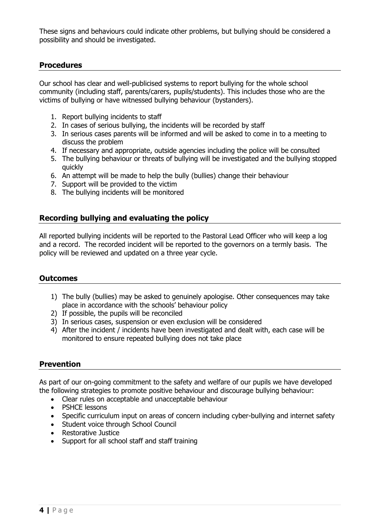These signs and behaviours could indicate other problems, but bullying should be considered a possibility and should be investigated.

# **Procedures**

Our school has clear and well-publicised systems to report bullying for the whole school community (including staff, parents/carers, pupils/students). This includes those who are the victims of bullying or have witnessed bullying behaviour (bystanders).

- 1. Report bullying incidents to staff
- 2. In cases of serious bullying, the incidents will be recorded by staff
- 3. In serious cases parents will be informed and will be asked to come in to a meeting to discuss the problem
- 4. If necessary and appropriate, outside agencies including the police will be consulted
- 5. The bullying behaviour or threats of bullying will be investigated and the bullying stopped quickly
- 6. An attempt will be made to help the bully (bullies) change their behaviour
- 7. Support will be provided to the victim
- 8. The bullying incidents will be monitored

# **Recording bullying and evaluating the policy**

All reported bullying incidents will be reported to the Pastoral Lead Officer who will keep a log and a record. The recorded incident will be reported to the governors on a termly basis. The policy will be reviewed and updated on a three year cycle.

# **Outcomes**

- 1) The bully (bullies) may be asked to genuinely apologise. Other consequences may take place in accordance with the schools' behaviour policy
- 2) If possible, the pupils will be reconciled
- 3) In serious cases, suspension or even exclusion will be considered
- 4) After the incident / incidents have been investigated and dealt with, each case will be monitored to ensure repeated bullying does not take place

# **Prevention**

As part of our on-going commitment to the safety and welfare of our pupils we have developed the following strategies to promote positive behaviour and discourage bullying behaviour:

- Clear rules on acceptable and unacceptable behaviour
- PSHCE lessons
- Specific curriculum input on areas of concern including cyber-bullying and internet safety
- Student voice through School Council
- Restorative Justice
- Support for all school staff and staff training